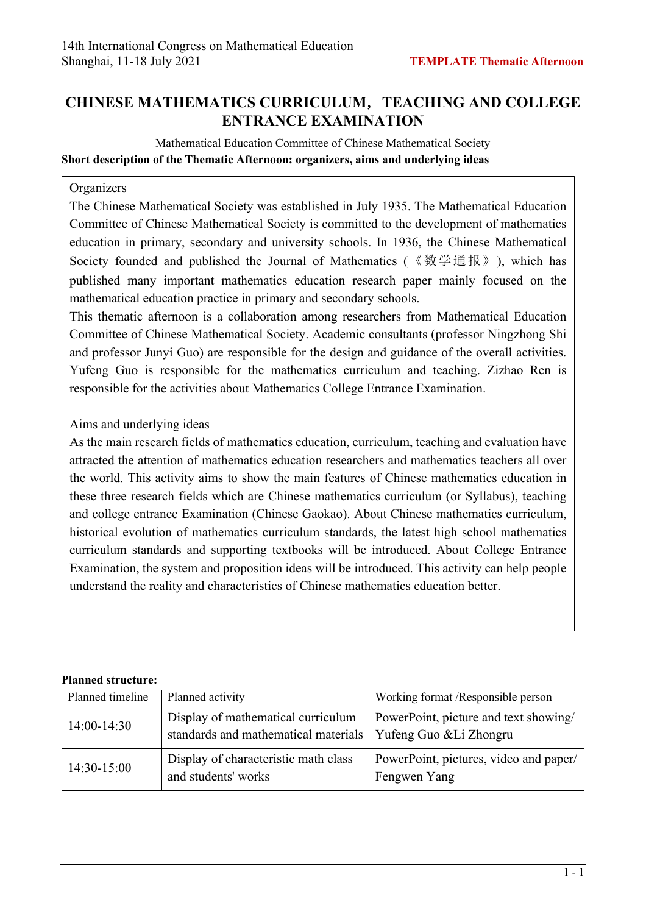## **CHINESE MATHEMATICS CURRICULUM**,**TEACHING AND COLLEGE ENTRANCE EXAMINATION**

Mathematical Education Committee of Chinese Mathematical Society **Short description of the Thematic Afternoon: organizers, aims and underlying ideas**

## **Organizers**

The Chinese Mathematical Society was established in July 1935. The Mathematical Education Committee of Chinese Mathematical Society is committed to the development of mathematics education in primary, secondary and university schools. In 1936, the Chinese Mathematical Society founded and published the Journal of Mathematics (《数学通报》), which has published many important mathematics education research paper mainly focused on the mathematical education practice in primary and secondary schools.

This thematic afternoon is a collaboration among researchers from Mathematical Education Committee of Chinese Mathematical Society. Academic consultants (professor Ningzhong Shi and professor Junyi Guo) are responsible for the design and guidance of the overall activities. Yufeng Guo is responsible for the mathematics curriculum and teaching. Zizhao Ren is responsible for the activities about Mathematics College Entrance Examination.

## Aims and underlying ideas

As the main research fields of mathematics education, curriculum, teaching and evaluation have attracted the attention of mathematics education researchers and mathematics teachers all over the world. This activity aims to show the main features of Chinese mathematics education in these three research fields which are Chinese mathematics curriculum (or Syllabus), teaching and college entrance Examination (Chinese Gaokao). About Chinese mathematics curriculum, historical evolution of mathematics curriculum standards, the latest high school mathematics curriculum standards and supporting textbooks will be introduced. About College Entrance Examination, the system and proposition ideas will be introduced. This activity can help people understand the reality and characteristics of Chinese mathematics education better.

## **Planned structure:**

| Planned timeline | Planned activity                                                           | Working format /Responsible person                               |
|------------------|----------------------------------------------------------------------------|------------------------------------------------------------------|
| $14:00-14:30$    | Display of mathematical curriculum<br>standards and mathematical materials | PowerPoint, picture and text showing/<br>Yufeng Guo & Li Zhongru |
| 14:30-15:00      | Display of characteristic math class<br>and students' works                | PowerPoint, pictures, video and paper/<br>Fengwen Yang           |